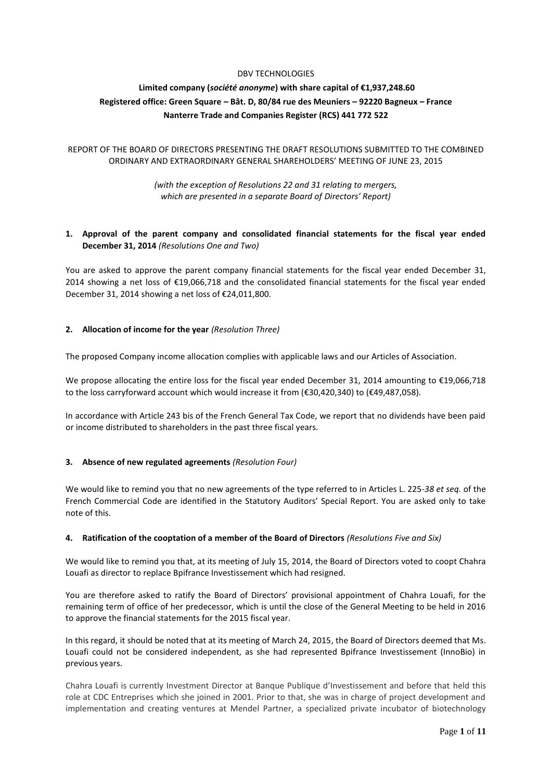### DBV TECHNOLOGIES

# **Limited company (***société anonyme***) with share capital of €1,937,248.60 Registered office: Green Square – Bât. D, 80/84 rue des Meuniers – 92220 Bagneux – France Nanterre Trade and Companies Register (RCS) 441 772 522**

## REPORT OF THE BOARD OF DIRECTORS PRESENTING THE DRAFT RESOLUTIONS SUBMITTED TO THE COMBINED ORDINARY AND EXTRAORDINARY GENERAL SHAREHOLDERS' MEETING OF JUNE 23, 2015

## *(with the exception of Resolutions 22 and 31 relating to mergers, which are presented in a separate Board of Directors' Report)*

## **1. Approval of the parent company and consolidated financial statements for the fiscal year ended December 31, 2014** *(Resolutions One and Two)*

You are asked to approve the parent company financial statements for the fiscal year ended December 31, 2014 showing a net loss of €19,066,718 and the consolidated financial statements for the fiscal year ended December 31, 2014 showing a net loss of €24,011,800.

## **2. Allocation of income for the year** *(Resolution Three)*

The proposed Company income allocation complies with applicable laws and our Articles of Association.

We propose allocating the entire loss for the fiscal year ended December 31, 2014 amounting to €19,066,718 to the loss carryforward account which would increase it from (€30,420,340) to (€49,487,058).

In accordance with Article 243 bis of the French General Tax Code, we report that no dividends have been paid or income distributed to shareholders in the past three fiscal years.

## **3. Absence of new regulated agreements** *(Resolution Four)*

We would like to remind you that no new agreements of the type referred to in Articles L. 225-*38 et seq.* of the French Commercial Code are identified in the Statutory Auditors' Special Report. You are asked only to take note of this.

## **4. Ratification of the cooptation of a member of the Board of Directors** *(Resolutions Five and Six)*

We would like to remind you that, at its meeting of July 15, 2014, the Board of Directors voted to coopt Chahra Louafi as director to replace Bpifrance Investissement which had resigned.

You are therefore asked to ratify the Board of Directors' provisional appointment of Chahra Louafi, for the remaining term of office of her predecessor, which is until the close of the General Meeting to be held in 2016 to approve the financial statements for the 2015 fiscal year.

In this regard, it should be noted that at its meeting of March 24, 2015, the Board of Directors deemed that Ms. Louafi could not be considered independent, as she had represented Bpifrance Investissement (InnoBio) in previous years.

Chahra Louafi is currently Investment Director at Banque Publique d'Investissement and before that held this role at CDC Entreprises which she joined in 2001. Prior to that, she was in charge of project development and implementation and creating ventures at Mendel Partner, a specialized private incubator of biotechnology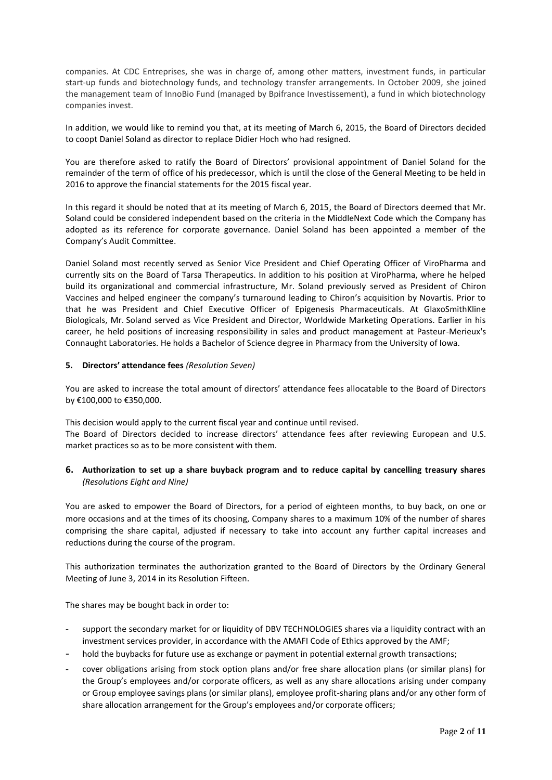companies. At CDC Entreprises, she was in charge of, among other matters, investment funds, in particular start-up funds and biotechnology funds, and technology transfer arrangements. In October 2009, she joined the management team of InnoBio Fund (managed by Bpifrance Investissement), a fund in which biotechnology companies invest.

In addition, we would like to remind you that, at its meeting of March 6, 2015, the Board of Directors decided to coopt Daniel Soland as director to replace Didier Hoch who had resigned.

You are therefore asked to ratify the Board of Directors' provisional appointment of Daniel Soland for the remainder of the term of office of his predecessor, which is until the close of the General Meeting to be held in 2016 to approve the financial statements for the 2015 fiscal year.

In this regard it should be noted that at its meeting of March 6, 2015, the Board of Directors deemed that Mr. Soland could be considered independent based on the criteria in the MiddleNext Code which the Company has adopted as its reference for corporate governance. Daniel Soland has been appointed a member of the Company's Audit Committee.

Daniel Soland most recently served as Senior Vice President and Chief Operating Officer of ViroPharma and currently sits on the Board of Tarsa Therapeutics. In addition to his position at ViroPharma, where he helped build its organizational and commercial infrastructure, Mr. Soland previously served as President of Chiron Vaccines and helped engineer the company's turnaround leading to Chiron's acquisition by Novartis. Prior to that he was President and Chief Executive Officer of Epigenesis Pharmaceuticals. At GlaxoSmithKline Biologicals, Mr. Soland served as Vice President and Director, Worldwide Marketing Operations. Earlier in his career, he held positions of increasing responsibility in sales and product management at Pasteur-Merieux's Connaught Laboratories. He holds a Bachelor of Science degree in Pharmacy from the University of Iowa.

## **5. Directors' attendance fees** *(Resolution Seven)*

You are asked to increase the total amount of directors' attendance fees allocatable to the Board of Directors by €100,000 to €350,000.

This decision would apply to the current fiscal year and continue until revised. The Board of Directors decided to increase directors' attendance fees after reviewing European and U.S. market practices so as to be more consistent with them.

## **6. Authorization to set up a share buyback program and to reduce capital by cancelling treasury shares**  *(Resolutions Eight and Nine)*

You are asked to empower the Board of Directors, for a period of eighteen months, to buy back, on one or more occasions and at the times of its choosing, Company shares to a maximum 10% of the number of shares comprising the share capital, adjusted if necessary to take into account any further capital increases and reductions during the course of the program.

This authorization terminates the authorization granted to the Board of Directors by the Ordinary General Meeting of June 3, 2014 in its Resolution Fifteen.

The shares may be bought back in order to:

- support the secondary market for or liquidity of DBV TECHNOLOGIES shares via a liquidity contract with an investment services provider, in accordance with the AMAFI Code of Ethics approved by the AMF;
- hold the buybacks for future use as exchange or payment in potential external growth transactions;
- cover obligations arising from stock option plans and/or free share allocation plans (or similar plans) for the Group's employees and/or corporate officers, as well as any share allocations arising under company or Group employee savings plans (or similar plans), employee profit-sharing plans and/or any other form of share allocation arrangement for the Group's employees and/or corporate officers;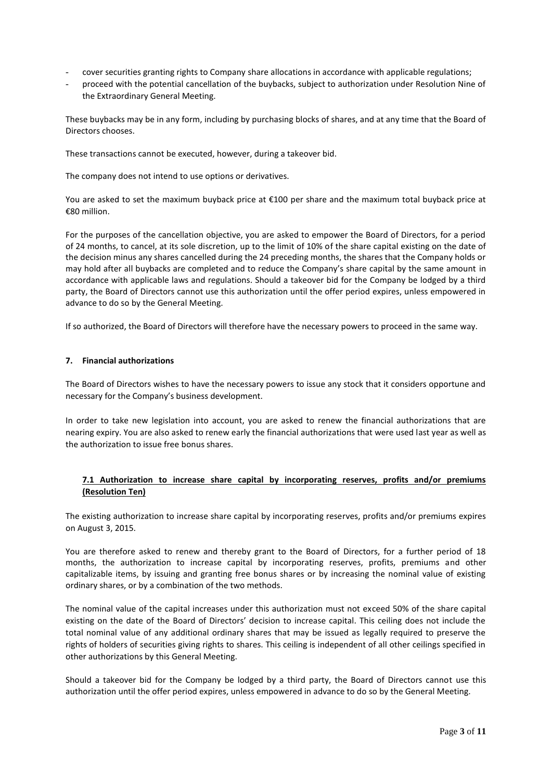- cover securities granting rights to Company share allocations in accordance with applicable regulations;
- proceed with the potential cancellation of the buybacks, subject to authorization under Resolution Nine of the Extraordinary General Meeting.

These buybacks may be in any form, including by purchasing blocks of shares, and at any time that the Board of Directors chooses.

These transactions cannot be executed, however, during a takeover bid.

The company does not intend to use options or derivatives.

You are asked to set the maximum buyback price at €100 per share and the maximum total buyback price at €80 million.

For the purposes of the cancellation objective, you are asked to empower the Board of Directors, for a period of 24 months, to cancel, at its sole discretion, up to the limit of 10% of the share capital existing on the date of the decision minus any shares cancelled during the 24 preceding months, the shares that the Company holds or may hold after all buybacks are completed and to reduce the Company's share capital by the same amount in accordance with applicable laws and regulations. Should a takeover bid for the Company be lodged by a third party, the Board of Directors cannot use this authorization until the offer period expires, unless empowered in advance to do so by the General Meeting.

If so authorized, the Board of Directors will therefore have the necessary powers to proceed in the same way.

#### **7. Financial authorizations**

The Board of Directors wishes to have the necessary powers to issue any stock that it considers opportune and necessary for the Company's business development.

In order to take new legislation into account, you are asked to renew the financial authorizations that are nearing expiry. You are also asked to renew early the financial authorizations that were used last year as well as the authorization to issue free bonus shares.

## **7.1 Authorization to increase share capital by incorporating reserves, profits and/or premiums (Resolution Ten)**

The existing authorization to increase share capital by incorporating reserves, profits and/or premiums expires on August 3, 2015.

You are therefore asked to renew and thereby grant to the Board of Directors, for a further period of 18 months, the authorization to increase capital by incorporating reserves, profits, premiums and other capitalizable items, by issuing and granting free bonus shares or by increasing the nominal value of existing ordinary shares, or by a combination of the two methods.

The nominal value of the capital increases under this authorization must not exceed 50% of the share capital existing on the date of the Board of Directors' decision to increase capital. This ceiling does not include the total nominal value of any additional ordinary shares that may be issued as legally required to preserve the rights of holders of securities giving rights to shares. This ceiling is independent of all other ceilings specified in other authorizations by this General Meeting.

Should a takeover bid for the Company be lodged by a third party, the Board of Directors cannot use this authorization until the offer period expires, unless empowered in advance to do so by the General Meeting.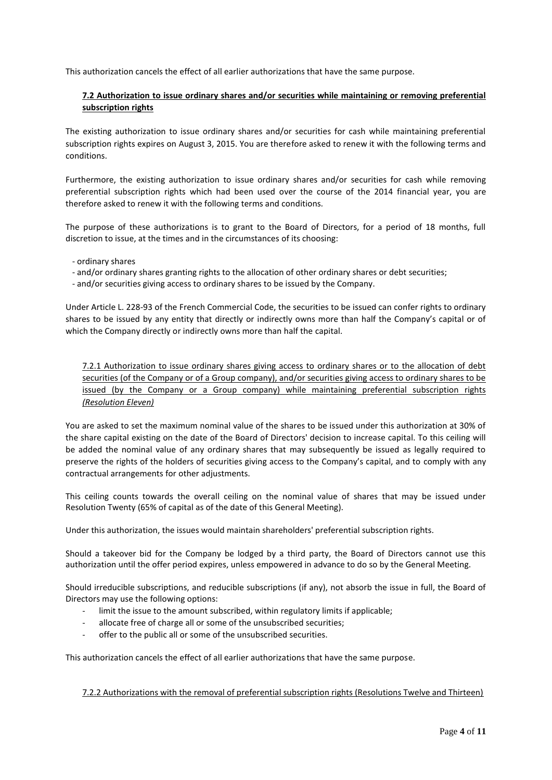This authorization cancels the effect of all earlier authorizations that have the same purpose.

## **7.2 Authorization to issue ordinary shares and/or securities while maintaining or removing preferential subscription rights**

The existing authorization to issue ordinary shares and/or securities for cash while maintaining preferential subscription rights expires on August 3, 2015. You are therefore asked to renew it with the following terms and conditions.

Furthermore, the existing authorization to issue ordinary shares and/or securities for cash while removing preferential subscription rights which had been used over the course of the 2014 financial year, you are therefore asked to renew it with the following terms and conditions.

The purpose of these authorizations is to grant to the Board of Directors, for a period of 18 months, full discretion to issue, at the times and in the circumstances of its choosing:

- ordinary shares
- and/or ordinary shares granting rights to the allocation of other ordinary shares or debt securities;
- and/or securities giving access to ordinary shares to be issued by the Company.

Under Article L. 228-93 of the French Commercial Code, the securities to be issued can confer rights to ordinary shares to be issued by any entity that directly or indirectly owns more than half the Company's capital or of which the Company directly or indirectly owns more than half the capital.

7.2.1 Authorization to issue ordinary shares giving access to ordinary shares or to the allocation of debt securities (of the Company or of a Group company), and/or securities giving access to ordinary shares to be issued (by the Company or a Group company) while maintaining preferential subscription rights *(Resolution Eleven)*

You are asked to set the maximum nominal value of the shares to be issued under this authorization at 30% of the share capital existing on the date of the Board of Directors' decision to increase capital. To this ceiling will be added the nominal value of any ordinary shares that may subsequently be issued as legally required to preserve the rights of the holders of securities giving access to the Company's capital, and to comply with any contractual arrangements for other adjustments.

This ceiling counts towards the overall ceiling on the nominal value of shares that may be issued under Resolution Twenty (65% of capital as of the date of this General Meeting).

Under this authorization, the issues would maintain shareholders' preferential subscription rights.

Should a takeover bid for the Company be lodged by a third party, the Board of Directors cannot use this authorization until the offer period expires, unless empowered in advance to do so by the General Meeting.

Should irreducible subscriptions, and reducible subscriptions (if any), not absorb the issue in full, the Board of Directors may use the following options:

- limit the issue to the amount subscribed, within regulatory limits if applicable;
- allocate free of charge all or some of the unsubscribed securities;
- offer to the public all or some of the unsubscribed securities.

This authorization cancels the effect of all earlier authorizations that have the same purpose.

7.2.2 Authorizations with the removal of preferential subscription rights (Resolutions Twelve and Thirteen)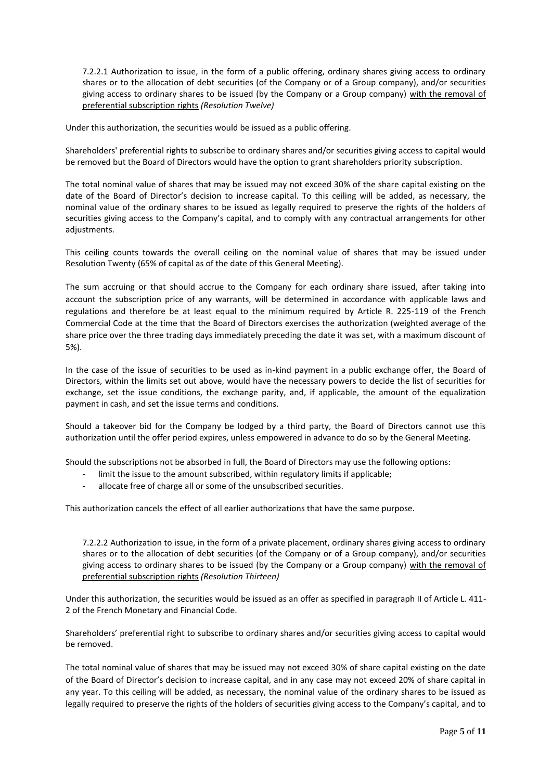7.2.2.1 Authorization to issue, in the form of a public offering, ordinary shares giving access to ordinary shares or to the allocation of debt securities (of the Company or of a Group company), and/or securities giving access to ordinary shares to be issued (by the Company or a Group company) with the removal of preferential subscription rights *(Resolution Twelve)*

Under this authorization, the securities would be issued as a public offering.

Shareholders' preferential rights to subscribe to ordinary shares and/or securities giving access to capital would be removed but the Board of Directors would have the option to grant shareholders priority subscription.

The total nominal value of shares that may be issued may not exceed 30% of the share capital existing on the date of the Board of Director's decision to increase capital. To this ceiling will be added, as necessary, the nominal value of the ordinary shares to be issued as legally required to preserve the rights of the holders of securities giving access to the Company's capital, and to comply with any contractual arrangements for other adjustments.

This ceiling counts towards the overall ceiling on the nominal value of shares that may be issued under Resolution Twenty (65% of capital as of the date of this General Meeting).

The sum accruing or that should accrue to the Company for each ordinary share issued, after taking into account the subscription price of any warrants, will be determined in accordance with applicable laws and regulations and therefore be at least equal to the minimum required by Article R. 225-119 of the French Commercial Code at the time that the Board of Directors exercises the authorization (weighted average of the share price over the three trading days immediately preceding the date it was set, with a maximum discount of 5%).

In the case of the issue of securities to be used as in-kind payment in a public exchange offer, the Board of Directors, within the limits set out above, would have the necessary powers to decide the list of securities for exchange, set the issue conditions, the exchange parity, and, if applicable, the amount of the equalization payment in cash, and set the issue terms and conditions.

Should a takeover bid for the Company be lodged by a third party, the Board of Directors cannot use this authorization until the offer period expires, unless empowered in advance to do so by the General Meeting.

Should the subscriptions not be absorbed in full, the Board of Directors may use the following options:

- **-** limit the issue to the amount subscribed, within regulatory limits if applicable;
- **-** allocate free of charge all or some of the unsubscribed securities.

This authorization cancels the effect of all earlier authorizations that have the same purpose.

7.2.2.2 Authorization to issue, in the form of a private placement, ordinary shares giving access to ordinary shares or to the allocation of debt securities (of the Company or of a Group company), and/or securities giving access to ordinary shares to be issued (by the Company or a Group company) with the removal of preferential subscription rights *(Resolution Thirteen)*

Under this authorization, the securities would be issued as an offer as specified in paragraph II of Article L. 411- 2 of the French Monetary and Financial Code.

Shareholders' preferential right to subscribe to ordinary shares and/or securities giving access to capital would be removed.

The total nominal value of shares that may be issued may not exceed 30% of share capital existing on the date of the Board of Director's decision to increase capital, and in any case may not exceed 20% of share capital in any year. To this ceiling will be added, as necessary, the nominal value of the ordinary shares to be issued as legally required to preserve the rights of the holders of securities giving access to the Company's capital, and to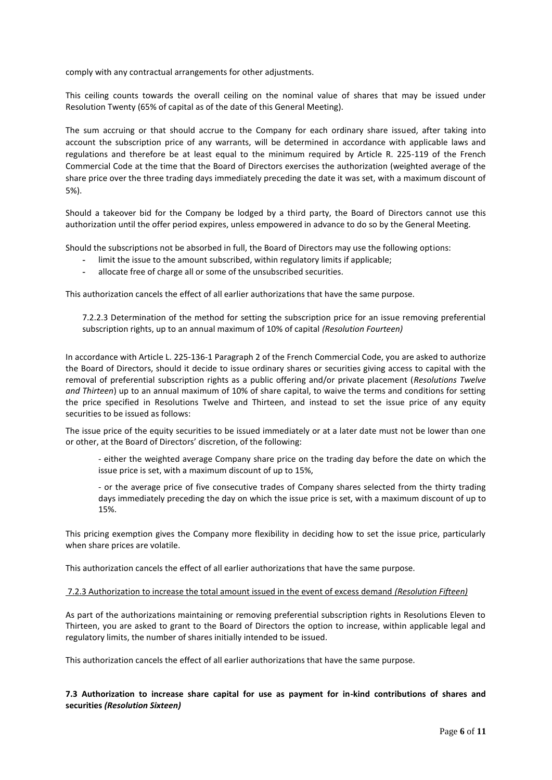comply with any contractual arrangements for other adjustments.

This ceiling counts towards the overall ceiling on the nominal value of shares that may be issued under Resolution Twenty (65% of capital as of the date of this General Meeting).

The sum accruing or that should accrue to the Company for each ordinary share issued, after taking into account the subscription price of any warrants, will be determined in accordance with applicable laws and regulations and therefore be at least equal to the minimum required by Article R. 225-119 of the French Commercial Code at the time that the Board of Directors exercises the authorization (weighted average of the share price over the three trading days immediately preceding the date it was set, with a maximum discount of 5%).

Should a takeover bid for the Company be lodged by a third party, the Board of Directors cannot use this authorization until the offer period expires, unless empowered in advance to do so by the General Meeting.

Should the subscriptions not be absorbed in full, the Board of Directors may use the following options:

- **-** limit the issue to the amount subscribed, within regulatory limits if applicable;
- **-** allocate free of charge all or some of the unsubscribed securities.

This authorization cancels the effect of all earlier authorizations that have the same purpose.

7.2.2.3 Determination of the method for setting the subscription price for an issue removing preferential subscription rights, up to an annual maximum of 10% of capital *(Resolution Fourteen)*

In accordance with Article L. 225-136-1 Paragraph 2 of the French Commercial Code, you are asked to authorize the Board of Directors, should it decide to issue ordinary shares or securities giving access to capital with the removal of preferential subscription rights as a public offering and/or private placement (*Resolutions Twelve and Thirteen*) up to an annual maximum of 10% of share capital, to waive the terms and conditions for setting the price specified in Resolutions Twelve and Thirteen, and instead to set the issue price of any equity securities to be issued as follows:

The issue price of the equity securities to be issued immediately or at a later date must not be lower than one or other, at the Board of Directors' discretion, of the following:

- either the weighted average Company share price on the trading day before the date on which the issue price is set, with a maximum discount of up to 15%,

- or the average price of five consecutive trades of Company shares selected from the thirty trading days immediately preceding the day on which the issue price is set, with a maximum discount of up to 15%.

This pricing exemption gives the Company more flexibility in deciding how to set the issue price, particularly when share prices are volatile.

This authorization cancels the effect of all earlier authorizations that have the same purpose.

#### 7.2.3 Authorization to increase the total amount issued in the event of excess demand *(Resolution Fifteen)*

As part of the authorizations maintaining or removing preferential subscription rights in Resolutions Eleven to Thirteen, you are asked to grant to the Board of Directors the option to increase, within applicable legal and regulatory limits, the number of shares initially intended to be issued.

This authorization cancels the effect of all earlier authorizations that have the same purpose.

**7.3 Authorization to increase share capital for use as payment for in-kind contributions of shares and securities** *(Resolution Sixteen)*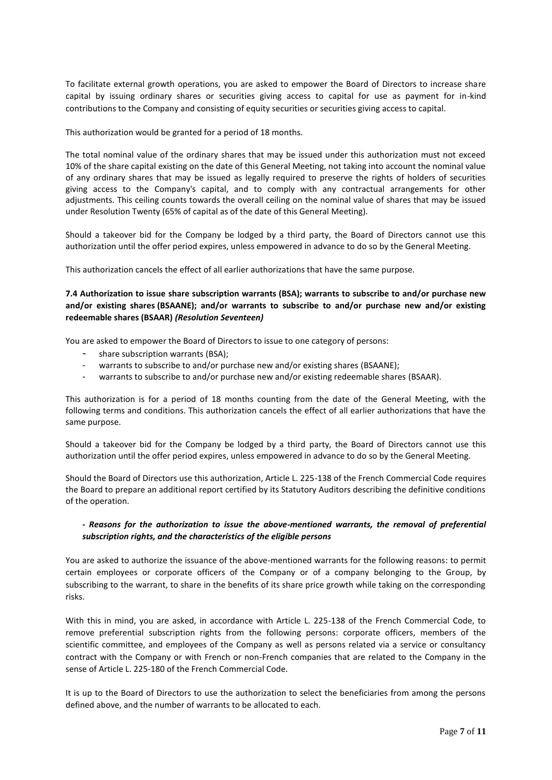To facilitate external growth operations, you are asked to empower the Board of Directors to increase share capital by issuing ordinary shares or securities giving access to capital for use as payment for in-kind contributions to the Company and consisting of equity securities or securities giving access to capital.

This authorization would be granted for a period of 18 months.

The total nominal value of the ordinary shares that may be issued under this authorization must not exceed 10% of the share capital existing on the date of this General Meeting, not taking into account the nominal value of any ordinary shares that may be issued as legally required to preserve the rights of holders of securities giving access to the Company's capital, and to comply with any contractual arrangements for other adjustments. This ceiling counts towards the overall ceiling on the nominal value of shares that may be issued under Resolution Twenty (65% of capital as of the date of this General Meeting).

Should a takeover bid for the Company be lodged by a third party, the Board of Directors cannot use this authorization until the offer period expires, unless empowered in advance to do so by the General Meeting.

This authorization cancels the effect of all earlier authorizations that have the same purpose.

## **7.4 Authorization to issue share subscription warrants (BSA); warrants to subscribe to and/or purchase new and/or existing shares (BSAANE); and/or warrants to subscribe to and/or purchase new and/or existing redeemable shares (BSAAR)** *(Resolution Seventeen)*

You are asked to empower the Board of Directors to issue to one category of persons:

- share subscription warrants (BSA):
- warrants to subscribe to and/or purchase new and/or existing shares (BSAANE);
- warrants to subscribe to and/or purchase new and/or existing redeemable shares (BSAAR).

This authorization is for a period of 18 months counting from the date of the General Meeting, with the following terms and conditions. This authorization cancels the effect of all earlier authorizations that have the same purpose.

Should a takeover bid for the Company be lodged by a third party, the Board of Directors cannot use this authorization until the offer period expires, unless empowered in advance to do so by the General Meeting.

Should the Board of Directors use this authorization, Article L. 225-138 of the French Commercial Code requires the Board to prepare an additional report certified by its Statutory Auditors describing the definitive conditions of the operation.

## *- Reasons for the authorization to issue the above-mentioned warrants, the removal of preferential subscription rights, and the characteristics of the eligible persons*

You are asked to authorize the issuance of the above-mentioned warrants for the following reasons: to permit certain employees or corporate officers of the Company or of a company belonging to the Group, by subscribing to the warrant, to share in the benefits of its share price growth while taking on the corresponding risks.

With this in mind, you are asked, in accordance with Article L. 225-138 of the French Commercial Code, to remove preferential subscription rights from the following persons: corporate officers, members of the scientific committee, and employees of the Company as well as persons related via a service or consultancy contract with the Company or with French or non-French companies that are related to the Company in the sense of Article L. 225-180 of the French Commercial Code.

It is up to the Board of Directors to use the authorization to select the beneficiaries from among the persons defined above, and the number of warrants to be allocated to each.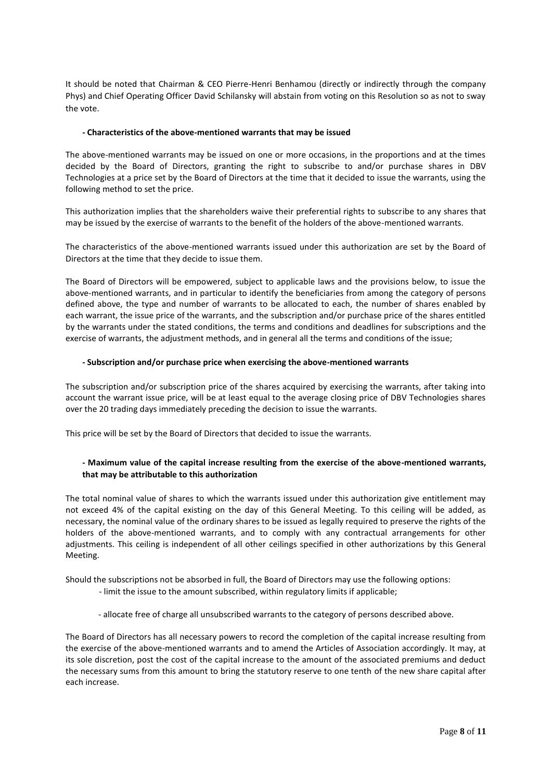It should be noted that Chairman & CEO Pierre-Henri Benhamou (directly or indirectly through the company Phys) and Chief Operating Officer David Schilansky will abstain from voting on this Resolution so as not to sway the vote.

## *-* **Characteristics of the above-mentioned warrants that may be issued**

The above-mentioned warrants may be issued on one or more occasions, in the proportions and at the times decided by the Board of Directors, granting the right to subscribe to and/or purchase shares in DBV Technologies at a price set by the Board of Directors at the time that it decided to issue the warrants, using the following method to set the price.

This authorization implies that the shareholders waive their preferential rights to subscribe to any shares that may be issued by the exercise of warrants to the benefit of the holders of the above-mentioned warrants.

The characteristics of the above-mentioned warrants issued under this authorization are set by the Board of Directors at the time that they decide to issue them.

The Board of Directors will be empowered, subject to applicable laws and the provisions below, to issue the above-mentioned warrants, and in particular to identify the beneficiaries from among the category of persons defined above, the type and number of warrants to be allocated to each, the number of shares enabled by each warrant, the issue price of the warrants, and the subscription and/or purchase price of the shares entitled by the warrants under the stated conditions, the terms and conditions and deadlines for subscriptions and the exercise of warrants, the adjustment methods, and in general all the terms and conditions of the issue;

#### *-* **Subscription and/or purchase price when exercising the above-mentioned warrants**

The subscription and/or subscription price of the shares acquired by exercising the warrants, after taking into account the warrant issue price, will be at least equal to the average closing price of DBV Technologies shares over the 20 trading days immediately preceding the decision to issue the warrants.

This price will be set by the Board of Directors that decided to issue the warrants.

## **- Maximum value of the capital increase resulting from the exercise of the above-mentioned warrants, that may be attributable to this authorization**

The total nominal value of shares to which the warrants issued under this authorization give entitlement may not exceed 4% of the capital existing on the day of this General Meeting. To this ceiling will be added, as necessary, the nominal value of the ordinary shares to be issued as legally required to preserve the rights of the holders of the above-mentioned warrants, and to comply with any contractual arrangements for other adjustments. This ceiling is independent of all other ceilings specified in other authorizations by this General Meeting.

Should the subscriptions not be absorbed in full, the Board of Directors may use the following options:

- limit the issue to the amount subscribed, within regulatory limits if applicable;
- allocate free of charge all unsubscribed warrants to the category of persons described above.

The Board of Directors has all necessary powers to record the completion of the capital increase resulting from the exercise of the above-mentioned warrants and to amend the Articles of Association accordingly. It may, at its sole discretion, post the cost of the capital increase to the amount of the associated premiums and deduct the necessary sums from this amount to bring the statutory reserve to one tenth of the new share capital after each increase.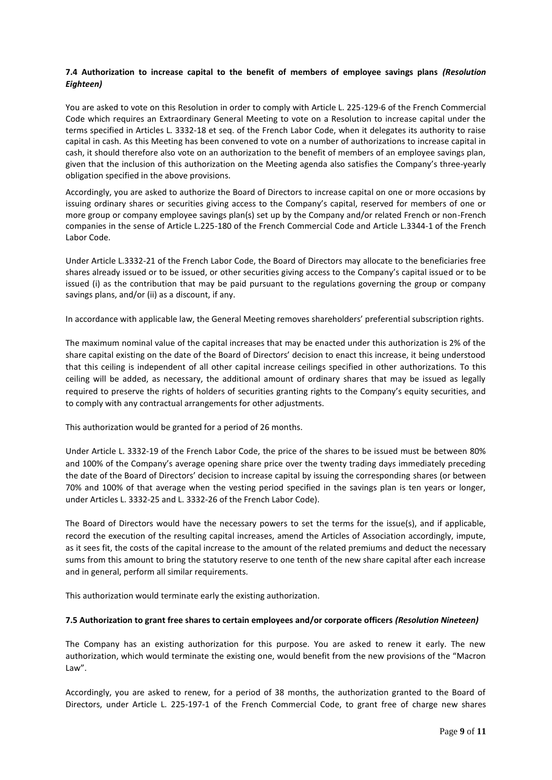## **7.4 Authorization to increase capital to the benefit of members of employee savings plans** *(Resolution Eighteen)*

You are asked to vote on this Resolution in order to comply with Article L. 225-129-6 of the French Commercial Code which requires an Extraordinary General Meeting to vote on a Resolution to increase capital under the terms specified in Articles L. 3332-18 et seq. of the French Labor Code, when it delegates its authority to raise capital in cash. As this Meeting has been convened to vote on a number of authorizations to increase capital in cash, it should therefore also vote on an authorization to the benefit of members of an employee savings plan, given that the inclusion of this authorization on the Meeting agenda also satisfies the Company's three-yearly obligation specified in the above provisions.

Accordingly, you are asked to authorize the Board of Directors to increase capital on one or more occasions by issuing ordinary shares or securities giving access to the Company's capital, reserved for members of one or more group or company employee savings plan(s) set up by the Company and/or related French or non-French companies in the sense of Article L.225-180 of the French Commercial Code and Article L.3344-1 of the French Labor Code.

Under Article L.3332-21 of the French Labor Code, the Board of Directors may allocate to the beneficiaries free shares already issued or to be issued, or other securities giving access to the Company's capital issued or to be issued (i) as the contribution that may be paid pursuant to the regulations governing the group or company savings plans, and/or (ii) as a discount, if any.

In accordance with applicable law, the General Meeting removes shareholders' preferential subscription rights.

The maximum nominal value of the capital increases that may be enacted under this authorization is 2% of the share capital existing on the date of the Board of Directors' decision to enact this increase, it being understood that this ceiling is independent of all other capital increase ceilings specified in other authorizations. To this ceiling will be added, as necessary, the additional amount of ordinary shares that may be issued as legally required to preserve the rights of holders of securities granting rights to the Company's equity securities, and to comply with any contractual arrangements for other adjustments.

This authorization would be granted for a period of 26 months.

Under Article L. 3332-19 of the French Labor Code, the price of the shares to be issued must be between 80% and 100% of the Company's average opening share price over the twenty trading days immediately preceding the date of the Board of Directors' decision to increase capital by issuing the corresponding shares (or between 70% and 100% of that average when the vesting period specified in the savings plan is ten years or longer, under Articles L. 3332-25 and L. 3332-26 of the French Labor Code).

The Board of Directors would have the necessary powers to set the terms for the issue(s), and if applicable, record the execution of the resulting capital increases, amend the Articles of Association accordingly, impute, as it sees fit, the costs of the capital increase to the amount of the related premiums and deduct the necessary sums from this amount to bring the statutory reserve to one tenth of the new share capital after each increase and in general, perform all similar requirements.

This authorization would terminate early the existing authorization.

## **7.5 Authorization to grant free shares to certain employees and/or corporate officers** *(Resolution Nineteen)*

The Company has an existing authorization for this purpose. You are asked to renew it early. The new authorization, which would terminate the existing one, would benefit from the new provisions of the "Macron Law".

Accordingly, you are asked to renew, for a period of 38 months, the authorization granted to the Board of Directors, under Article L. 225-197-1 of the French Commercial Code, to grant free of charge new shares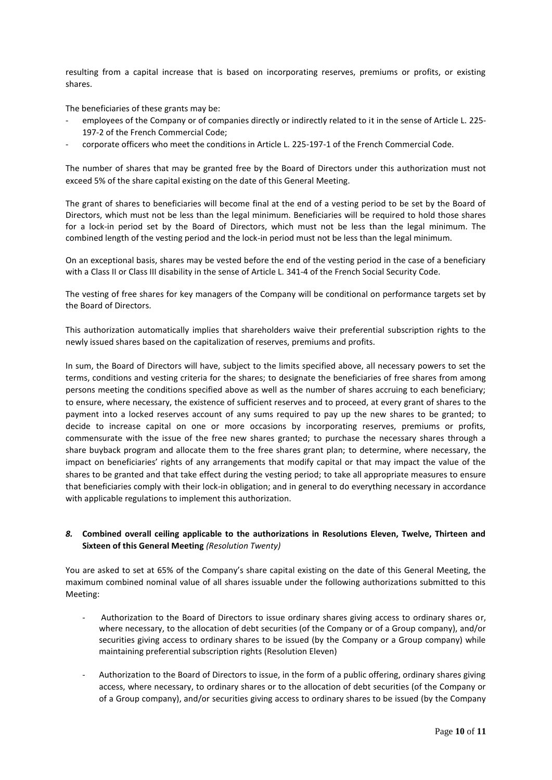resulting from a capital increase that is based on incorporating reserves, premiums or profits, or existing shares.

The beneficiaries of these grants may be:

- employees of the Company or of companies directly or indirectly related to it in the sense of Article L. 225- 197-2 of the French Commercial Code;
- corporate officers who meet the conditions in Article L. 225-197-1 of the French Commercial Code.

The number of shares that may be granted free by the Board of Directors under this authorization must not exceed 5% of the share capital existing on the date of this General Meeting.

The grant of shares to beneficiaries will become final at the end of a vesting period to be set by the Board of Directors, which must not be less than the legal minimum. Beneficiaries will be required to hold those shares for a lock-in period set by the Board of Directors, which must not be less than the legal minimum. The combined length of the vesting period and the lock-in period must not be less than the legal minimum.

On an exceptional basis, shares may be vested before the end of the vesting period in the case of a beneficiary with a Class II or Class III disability in the sense of Article L. 341-4 of the French Social Security Code.

The vesting of free shares for key managers of the Company will be conditional on performance targets set by the Board of Directors.

This authorization automatically implies that shareholders waive their preferential subscription rights to the newly issued shares based on the capitalization of reserves, premiums and profits.

In sum, the Board of Directors will have, subject to the limits specified above, all necessary powers to set the terms, conditions and vesting criteria for the shares; to designate the beneficiaries of free shares from among persons meeting the conditions specified above as well as the number of shares accruing to each beneficiary; to ensure, where necessary, the existence of sufficient reserves and to proceed, at every grant of shares to the payment into a locked reserves account of any sums required to pay up the new shares to be granted; to decide to increase capital on one or more occasions by incorporating reserves, premiums or profits, commensurate with the issue of the free new shares granted; to purchase the necessary shares through a share buyback program and allocate them to the free shares grant plan; to determine, where necessary, the impact on beneficiaries' rights of any arrangements that modify capital or that may impact the value of the shares to be granted and that take effect during the vesting period; to take all appropriate measures to ensure that beneficiaries comply with their lock-in obligation; and in general to do everything necessary in accordance with applicable regulations to implement this authorization.

## *8.* **Combined overall ceiling applicable to the authorizations in Resolutions Eleven, Twelve, Thirteen and Sixteen of this General Meeting** *(Resolution Twenty)*

You are asked to set at 65% of the Company's share capital existing on the date of this General Meeting, the maximum combined nominal value of all shares issuable under the following authorizations submitted to this Meeting:

- Authorization to the Board of Directors to issue ordinary shares giving access to ordinary shares or, where necessary, to the allocation of debt securities (of the Company or of a Group company), and/or securities giving access to ordinary shares to be issued (by the Company or a Group company) while maintaining preferential subscription rights (Resolution Eleven)
- Authorization to the Board of Directors to issue, in the form of a public offering, ordinary shares giving access, where necessary, to ordinary shares or to the allocation of debt securities (of the Company or of a Group company), and/or securities giving access to ordinary shares to be issued (by the Company